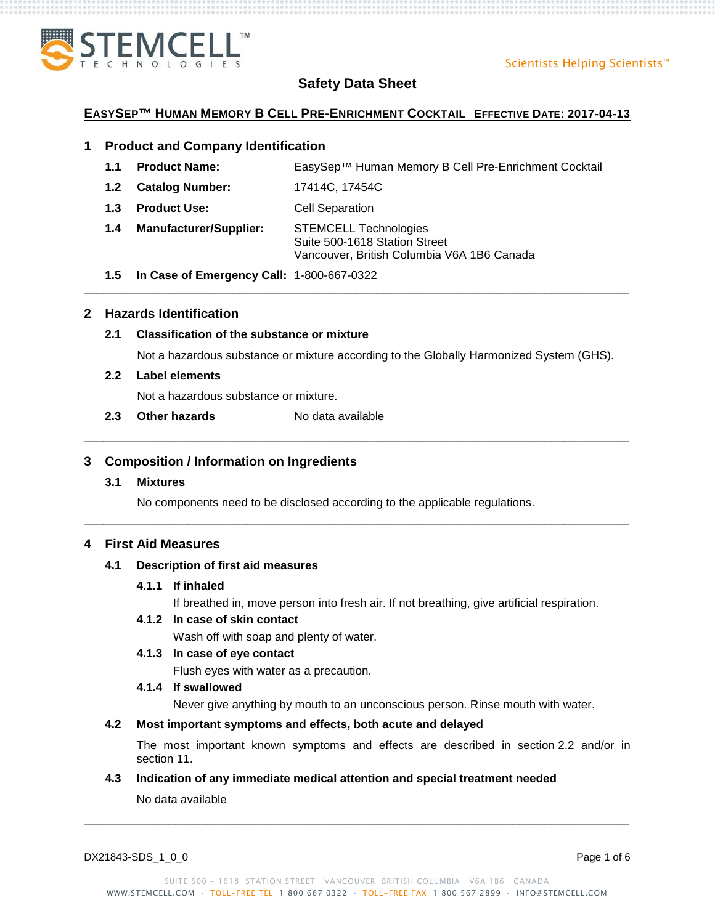

## **EASYSEP™ HUMAN MEMORY B CELL PRE-ENRICHMENT COCKTAIL EFFECTIVE DATE: 2017-04-13**

## **1 Product and Company Identification**

**1.1 Product Name:** EasySep™ Human Memory B Cell Pre-Enrichment Cocktail

**\_\_\_\_\_\_\_\_\_\_\_\_\_\_\_\_\_\_\_\_\_\_\_\_\_\_\_\_\_\_\_\_\_\_\_\_\_\_\_\_\_\_\_\_\_\_\_\_\_\_\_\_\_\_\_\_\_\_\_\_\_\_\_\_\_\_\_\_\_\_\_\_\_\_\_\_\_\_\_\_\_\_\_\_**

**\_\_\_\_\_\_\_\_\_\_\_\_\_\_\_\_\_\_\_\_\_\_\_\_\_\_\_\_\_\_\_\_\_\_\_\_\_\_\_\_\_\_\_\_\_\_\_\_\_\_\_\_\_\_\_\_\_\_\_\_\_\_\_\_\_\_\_\_\_\_\_\_\_\_\_\_\_\_\_\_\_\_\_\_**

**\_\_\_\_\_\_\_\_\_\_\_\_\_\_\_\_\_\_\_\_\_\_\_\_\_\_\_\_\_\_\_\_\_\_\_\_\_\_\_\_\_\_\_\_\_\_\_\_\_\_\_\_\_\_\_\_\_\_\_\_\_\_\_\_\_\_\_\_\_\_\_\_\_\_\_\_\_\_\_\_\_\_\_\_**

- **1.2 Catalog Number:** 17414C, 17454C
- **1.3 Product Use:** Cell Separation
- **1.4 Manufacturer/Supplier:** STEMCELL Technologies Suite 500-1618 Station Street Vancouver, British Columbia V6A 1B6 Canada
- **1.5 In Case of Emergency Call:** 1-800-667-0322

## **2 Hazards Identification**

## **2.1 Classification of the substance or mixture**

Not a hazardous substance or mixture according to the Globally Harmonized System (GHS).

## **2.2 Label elements**

Not a hazardous substance or mixture.

**2.3 Other hazards** No data available

## **3 Composition / Information on Ingredients**

## **3.1 Mixtures**

No components need to be disclosed according to the applicable regulations.

## **4 First Aid Measures**

## **4.1 Description of first aid measures**

## **4.1.1 If inhaled**

If breathed in, move person into fresh air. If not breathing, give artificial respiration.

## **4.1.2 In case of skin contact**

Wash off with soap and plenty of water.

## **4.1.3 In case of eye contact**

Flush eyes with water as a precaution.

## **4.1.4 If swallowed**

Never give anything by mouth to an unconscious person. Rinse mouth with water.

## **4.2 Most important symptoms and effects, both acute and delayed**

The most important known symptoms and effects are described in section 2.2 and/or in section 11.

## **4.3 Indication of any immediate medical attention and special treatment needed**

No data available

DX21843-SDS\_1\_0\_0 Page 1 of 6

**\_\_\_\_\_\_\_\_\_\_\_\_\_\_\_\_\_\_\_\_\_\_\_\_\_\_\_\_\_\_\_\_\_\_\_\_\_\_\_\_\_\_\_\_\_\_\_\_\_\_\_\_\_\_\_\_\_\_\_\_\_\_\_\_\_\_\_\_\_\_\_\_\_\_\_\_\_\_\_\_\_\_\_\_**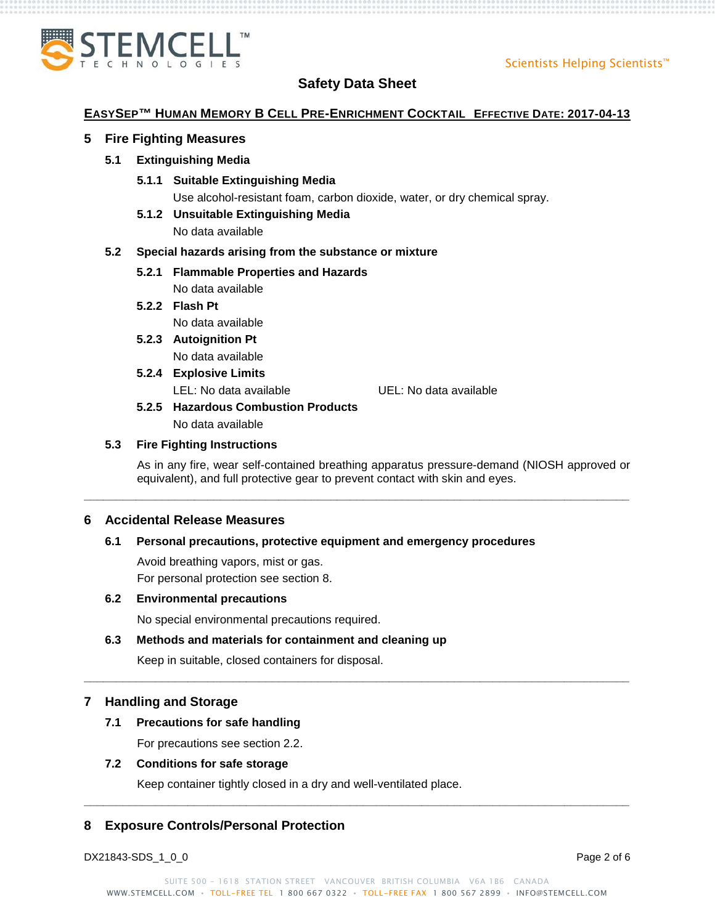

## **EASYSEP™ HUMAN MEMORY B CELL PRE-ENRICHMENT COCKTAIL EFFECTIVE DATE: 2017-04-13**

## **5 Fire Fighting Measures**

## **5.1 Extinguishing Media**

**5.1.1 Suitable Extinguishing Media**

Use alcohol-resistant foam, carbon dioxide, water, or dry chemical spray.

**5.1.2 Unsuitable Extinguishing Media**

No data available

## **5.2 Special hazards arising from the substance or mixture**

**5.2.1 Flammable Properties and Hazards**

No data available

**5.2.2 Flash Pt**

No data available

- **5.2.3 Autoignition Pt** No data available
- **5.2.4 Explosive Limits**

LEL: No data available UEL: No data available

**5.2.5 Hazardous Combustion Products** No data available

## **5.3 Fire Fighting Instructions**

As in any fire, wear self-contained breathing apparatus pressure-demand (NIOSH approved or equivalent), and full protective gear to prevent contact with skin and eyes.

**\_\_\_\_\_\_\_\_\_\_\_\_\_\_\_\_\_\_\_\_\_\_\_\_\_\_\_\_\_\_\_\_\_\_\_\_\_\_\_\_\_\_\_\_\_\_\_\_\_\_\_\_\_\_\_\_\_\_\_\_\_\_\_\_\_\_\_\_\_\_\_\_\_\_\_\_\_\_\_\_\_\_\_\_**

**\_\_\_\_\_\_\_\_\_\_\_\_\_\_\_\_\_\_\_\_\_\_\_\_\_\_\_\_\_\_\_\_\_\_\_\_\_\_\_\_\_\_\_\_\_\_\_\_\_\_\_\_\_\_\_\_\_\_\_\_\_\_\_\_\_\_\_\_\_\_\_\_\_\_\_\_\_\_\_\_\_\_\_\_**

## **6 Accidental Release Measures**

## **6.1 Personal precautions, protective equipment and emergency procedures**

Avoid breathing vapors, mist or gas. For personal protection see section 8.

## **6.2 Environmental precautions**

No special environmental precautions required.

## **6.3 Methods and materials for containment and cleaning up**

Keep in suitable, closed containers for disposal.

## **7 Handling and Storage**

## **7.1 Precautions for safe handling**

For precautions see section 2.2.

## **7.2 Conditions for safe storage**

Keep container tightly closed in a dry and well-ventilated place.

## **8 Exposure Controls/Personal Protection**

DX21843-SDS\_1\_0\_0 Page 2 of 6

**\_\_\_\_\_\_\_\_\_\_\_\_\_\_\_\_\_\_\_\_\_\_\_\_\_\_\_\_\_\_\_\_\_\_\_\_\_\_\_\_\_\_\_\_\_\_\_\_\_\_\_\_\_\_\_\_\_\_\_\_\_\_\_\_\_\_\_\_\_\_\_\_\_\_\_\_\_\_\_\_\_\_\_\_**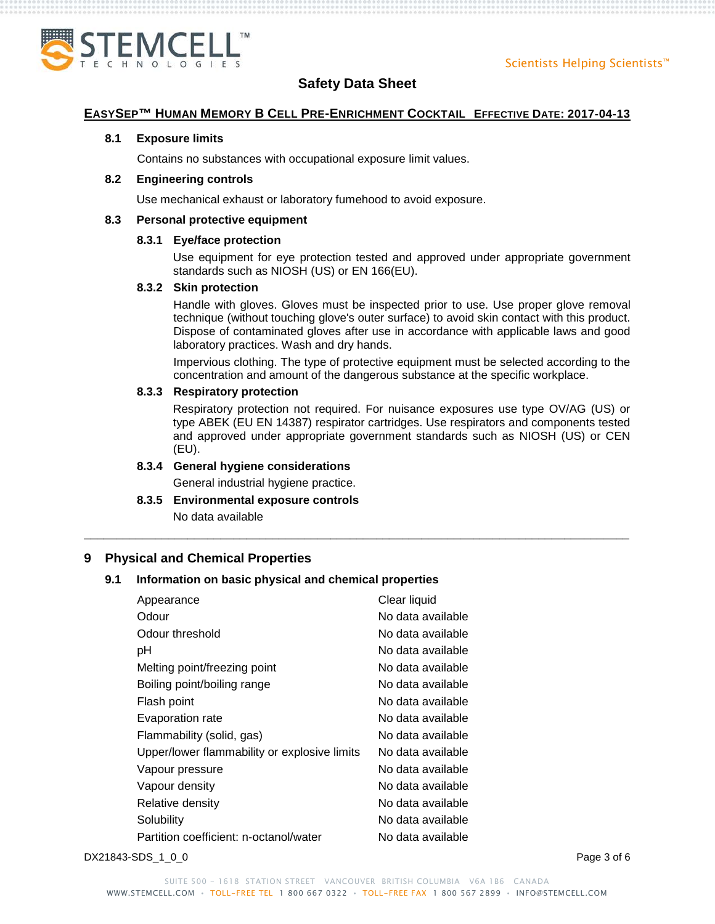

#### **EASYSEP™ HUMAN MEMORY B CELL PRE-ENRICHMENT COCKTAIL EFFECTIVE DATE: 2017-04-13**

#### **8.1 Exposure limits**

Contains no substances with occupational exposure limit values.

#### **8.2 Engineering controls**

Use mechanical exhaust or laboratory fumehood to avoid exposure.

#### **8.3 Personal protective equipment**

## **8.3.1 Eye/face protection**

Use equipment for eye protection tested and approved under appropriate government standards such as NIOSH (US) or EN 166(EU).

#### **8.3.2 Skin protection**

Handle with gloves. Gloves must be inspected prior to use. Use proper glove removal technique (without touching glove's outer surface) to avoid skin contact with this product. Dispose of contaminated gloves after use in accordance with applicable laws and good laboratory practices. Wash and dry hands.

Impervious clothing. The type of protective equipment must be selected according to the concentration and amount of the dangerous substance at the specific workplace.

## **8.3.3 Respiratory protection**

Respiratory protection not required. For nuisance exposures use type OV/AG (US) or type ABEK (EU EN 14387) respirator cartridges. Use respirators and components tested and approved under appropriate government standards such as NIOSH (US) or CEN (EU).

**\_\_\_\_\_\_\_\_\_\_\_\_\_\_\_\_\_\_\_\_\_\_\_\_\_\_\_\_\_\_\_\_\_\_\_\_\_\_\_\_\_\_\_\_\_\_\_\_\_\_\_\_\_\_\_\_\_\_\_\_\_\_\_\_\_\_\_\_\_\_\_\_\_\_\_\_\_\_\_\_\_\_\_\_**

## **8.3.4 General hygiene considerations**

General industrial hygiene practice.

**8.3.5 Environmental exposure controls**

No data available

## **9 Physical and Chemical Properties**

## **9.1 Information on basic physical and chemical properties**

| Appearance                                   | Clear liquid       |
|----------------------------------------------|--------------------|
| Odour                                        | No data available  |
| Odour threshold                              | No data available  |
| рH                                           | No data available. |
| Melting point/freezing point                 | No data available  |
| Boiling point/boiling range                  | No data available  |
| Flash point                                  | No data available  |
| Evaporation rate                             | No data available  |
| Flammability (solid, gas)                    | No data available  |
| Upper/lower flammability or explosive limits | No data available  |
| Vapour pressure                              | No data available  |
| Vapour density                               | No data available  |
| Relative density                             | No data available  |
| Solubility                                   | No data available  |
| Partition coefficient: n-octanol/water       | No data available  |

DX21843-SDS\_1\_0\_0 Page 3 of 6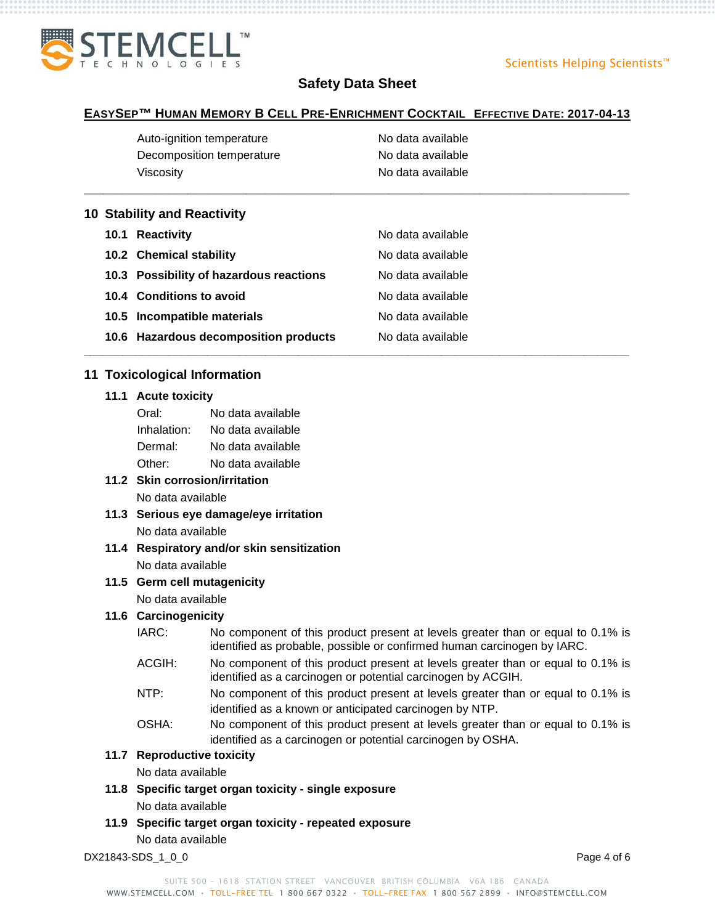

#### **EASYSEP™ HUMAN MEMORY B CELL PRE-ENRICHMENT COCKTAIL EFFECTIVE DATE: 2017-04-13**

**\_\_\_\_\_\_\_\_\_\_\_\_\_\_\_\_\_\_\_\_\_\_\_\_\_\_\_\_\_\_\_\_\_\_\_\_\_\_\_\_\_\_\_\_\_\_\_\_\_\_\_\_\_\_\_\_\_\_\_\_\_\_\_\_\_\_\_\_\_\_\_\_\_\_\_\_\_\_\_\_\_\_\_\_**

**\_\_\_\_\_\_\_\_\_\_\_\_\_\_\_\_\_\_\_\_\_\_\_\_\_\_\_\_\_\_\_\_\_\_\_\_\_\_\_\_\_\_\_\_\_\_\_\_\_\_\_\_\_\_\_\_\_\_\_\_\_\_\_\_\_\_\_\_\_\_\_\_\_\_\_\_\_\_\_\_\_\_\_\_**

| Auto-ignition temperature | No data available |
|---------------------------|-------------------|
| Decomposition temperature | No data available |
| Viscosity                 | No data available |

#### **10 Stability and Reactivity**

| 10.1 Reactivity                         | No data available |
|-----------------------------------------|-------------------|
| 10.2 Chemical stability                 | No data available |
| 10.3 Possibility of hazardous reactions | No data available |
| 10.4 Conditions to avoid                | No data available |
| 10.5 Incompatible materials             | No data available |
| 10.6 Hazardous decomposition products   | No data available |

## **11 Toxicological Information**

#### **11.1 Acute toxicity**

| Oral:       | No data available |
|-------------|-------------------|
| Inhalation: | No data available |
| Dermal:     | No data available |
| Other:      | No data available |

## **11.2 Skin corrosion/irritation** No data available

- **11.3 Serious eye damage/eye irritation** No data available
- **11.4 Respiratory and/or skin sensitization** No data available
- **11.5 Germ cell mutagenicity** No data available

## **11.6 Carcinogenicity**

- IARC: No component of this product present at levels greater than or equal to 0.1% is identified as probable, possible or confirmed human carcinogen by IARC.
- ACGIH: No component of this product present at levels greater than or equal to 0.1% is identified as a carcinogen or potential carcinogen by ACGIH.
- NTP: No component of this product present at levels greater than or equal to 0.1% is identified as a known or anticipated carcinogen by NTP.
- OSHA: No component of this product present at levels greater than or equal to 0.1% is identified as a carcinogen or potential carcinogen by OSHA.

## **11.7 Reproductive toxicity**

No data available

- **11.8 Specific target organ toxicity - single exposure** No data available
- **11.9 Specific target organ toxicity - repeated exposure** No data available

DX21843-SDS\_1\_0\_0 Page 4 of 6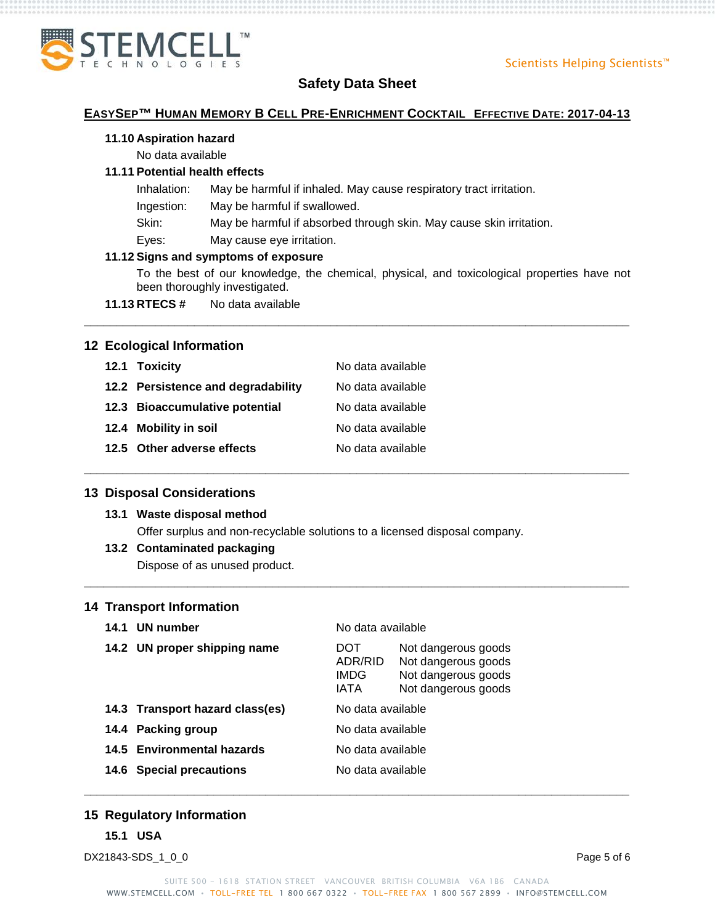

## **EASYSEP™ HUMAN MEMORY B CELL PRE-ENRICHMENT COCKTAIL EFFECTIVE DATE: 2017-04-13**

#### **11.10 Aspiration hazard**

No data available

## **11.11 Potential health effects**

- Inhalation: May be harmful if inhaled. May cause respiratory tract irritation.
- Ingestion: May be harmful if swallowed.
- Skin: May be harmful if absorbed through skin. May cause skin irritation.

**\_\_\_\_\_\_\_\_\_\_\_\_\_\_\_\_\_\_\_\_\_\_\_\_\_\_\_\_\_\_\_\_\_\_\_\_\_\_\_\_\_\_\_\_\_\_\_\_\_\_\_\_\_\_\_\_\_\_\_\_\_\_\_\_\_\_\_\_\_\_\_\_\_\_\_\_\_\_\_\_\_\_\_\_**

**\_\_\_\_\_\_\_\_\_\_\_\_\_\_\_\_\_\_\_\_\_\_\_\_\_\_\_\_\_\_\_\_\_\_\_\_\_\_\_\_\_\_\_\_\_\_\_\_\_\_\_\_\_\_\_\_\_\_\_\_\_\_\_\_\_\_\_\_\_\_\_\_\_\_\_\_\_\_\_\_\_\_\_\_**

**\_\_\_\_\_\_\_\_\_\_\_\_\_\_\_\_\_\_\_\_\_\_\_\_\_\_\_\_\_\_\_\_\_\_\_\_\_\_\_\_\_\_\_\_\_\_\_\_\_\_\_\_\_\_\_\_\_\_\_\_\_\_\_\_\_\_\_\_\_\_\_\_\_\_\_\_\_\_\_\_\_\_\_\_**

Eyes: May cause eye irritation.

## **11.12 Signs and symptoms of exposure**

To the best of our knowledge, the chemical, physical, and toxicological properties have not been thoroughly investigated.

**11.13 RTECS #** No data available

## **12 Ecological Information**

| 12.1 Toxicity                      | No data available |
|------------------------------------|-------------------|
| 12.2 Persistence and degradability | No data available |
| 12.3 Bioaccumulative potential     | No data available |
| 12.4 Mobility in soil              | No data available |
| 12.5 Other adverse effects         | No data available |

## **13 Disposal Considerations**

## **13.1 Waste disposal method**

Offer surplus and non-recyclable solutions to a licensed disposal company.

## **13.2 Contaminated packaging**

Dispose of as unused product.

## **14 Transport Information**

| 14.1 | UN number                       | No data available              |                                                                                          |
|------|---------------------------------|--------------------------------|------------------------------------------------------------------------------------------|
|      | 14.2 UN proper shipping name    | DOT<br>ADR/RID<br>IMDG<br>IATA | Not dangerous goods<br>Not dangerous goods<br>Not dangerous goods<br>Not dangerous goods |
|      | 14.3 Transport hazard class(es) | No data available              |                                                                                          |
|      | 14.4 Packing group              | No data available              |                                                                                          |
|      | 14.5 Environmental hazards      | No data available              |                                                                                          |
|      | 14.6 Special precautions        | No data available              |                                                                                          |

## **15 Regulatory Information**

**15.1 USA**

DX21843-SDS\_1\_0\_0 Page 5 of 6

**\_\_\_\_\_\_\_\_\_\_\_\_\_\_\_\_\_\_\_\_\_\_\_\_\_\_\_\_\_\_\_\_\_\_\_\_\_\_\_\_\_\_\_\_\_\_\_\_\_\_\_\_\_\_\_\_\_\_\_\_\_\_\_\_\_\_\_\_\_\_\_\_\_\_\_\_\_\_\_\_\_\_\_\_**